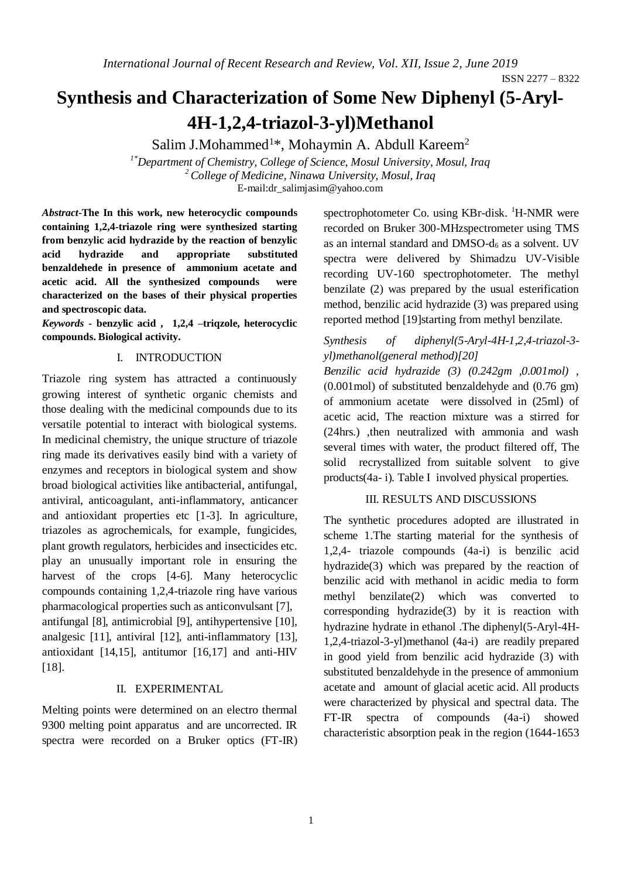ISSN 2277 – 8322

# **Synthesis and Characterization of Some New Diphenyl (5-Aryl-4H-1,2,4-triazol-3-yl)Methanol**

Salim J.Mohammed<sup>1\*</sup>, Mohaymin A. Abdull Kareem<sup>2</sup> *1\*Department of Chemistry, College of Science, Mosul University, Mosul, Iraq <sup>2</sup>College of Medicine, Ninawa University, Mosul, Iraq* E-mail:dr\_salimjasim@yahoo.com

*Abstract***-The In this work, new heterocyclic compounds containing 1,2,4-triazole ring were synthesized starting from benzylic acid hydrazide by the reaction of benzylic acid hydrazide and appropriate substituted benzaldehede in presence of ammonium acetate and acetic acid. All the synthesized compounds were characterized on the bases of their physical properties and spectroscopic data.**

*Keywords -* **benzylic acid , 1,2,4 –triqzole, heterocyclic compounds. Biological activity.**

## I. INTRODUCTION

Triazole ring system has attracted a continuously growing interest of synthetic organic chemists and those dealing with the medicinal compounds due to its versatile potential to interact with biological systems. In medicinal chemistry, the unique structure of triazole ring made its derivatives easily bind with a variety of enzymes and receptors in biological system and show broad biological activities like antibacterial, antifungal, antiviral, anticoagulant, anti-inflammatory, anticancer and antioxidant properties etc [1-3]. In agriculture, triazoles as agrochemicals, for example, fungicides, plant growth regulators, herbicides and insecticides etc. play an unusually important role in ensuring the harvest of the crops [4-6]. Many heterocyclic compounds containing 1,2,4-triazole ring have various pharmacological properties such as anticonvulsant [7], antifungal [8], antimicrobial [9], antihypertensive [10], analgesic [11], antiviral [12], anti-inflammatory [13], antioxidant [14,15], antitumor [16,17] and anti-HIV [18].

## II. EXPERIMENTAL

Melting points were determined on an electro thermal 9300 melting point apparatus and are uncorrected. IR spectra were recorded on a Bruker optics (FT-IR) spectrophotometer Co. using KBr-disk. <sup>1</sup>H-NMR were recorded on Bruker 300-MHzspectrometer using TMS as an internal standard and DMSO-d<sup>6</sup> as a solvent. UV spectra were delivered by Shimadzu UV-Visible recording UV-160 spectrophotometer. The methyl benzilate (2) was prepared by the usual esterification method, benzilic acid hydrazide (3) was prepared using reported method [19]starting from methyl benzilate*.*

# *Synthesis of diphenyl(5-Aryl-4H-1,2,4-triazol-3 yl)methanol(general method)[20]*

*Benzilic acid hydrazide (3) (0.242gm ,0.001mol) ,*   $(0.001 \text{ mol})$  of substituted benzaldehyde and  $(0.76 \text{ gm})$ of ammonium acetate were dissolved in (25ml) of acetic acid, The reaction mixture was a stirred for (24hrs.) ,then neutralized with ammonia and wash several times with water, the product filtered off, The solid recrystallized from suitable solvent to give products(4a- i). Table I involved physical properties.

## III. RESULTS AND DISCUSSIONS

The synthetic procedures adopted are illustrated in scheme 1.The starting material for the synthesis of 1,2,4- triazole compounds (4a-i) is benzilic acid hydrazide(3) which was prepared by the reaction of benzilic acid with methanol in acidic media to form methyl benzilate(2) which was converted to corresponding hydrazide(3) by it is reaction with hydrazine hydrate in ethanol .The diphenyl(5-Aryl-4H-1,2,4-triazol-3-yl)methanol (4a-i) are readily prepared in good yield from benzilic acid hydrazide (3) with substituted benzaldehyde in the presence of ammonium acetate and amount of glacial acetic acid. All products were characterized by physical and spectral data. The FT-IR spectra of compounds (4a-i) showed characteristic absorption peak in the region (1644-1653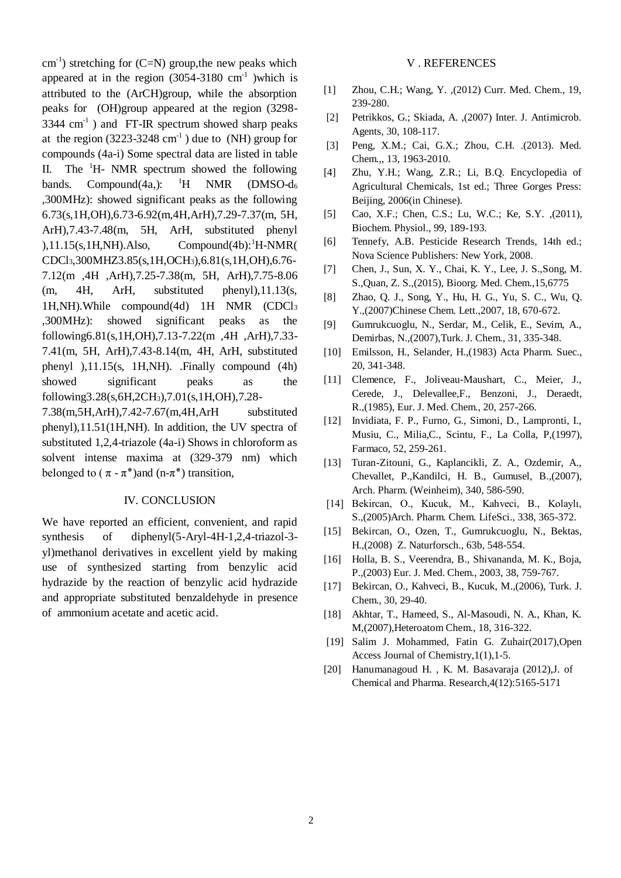$\text{cm}^{-1}$ ) stretching for (C=N) group, the new peaks which appeared at in the region  $(3054-3180 \text{ cm}^{-1})$  which is attributed to the (ArCH)group, while the absorption peaks for (OH)group appeared at the region (3298-  $3344 \text{ cm}^{-1}$ ) and FT-IR spectrum showed sharp peaks at the region  $(3223-3248 \text{ cm}^{-1})$  due to (NH) group for compounds (4a-i) Some spectral data are listed in table II. The  ${}^{1}$ H- NMR spectrum showed the following bands. Compound(4a,):  ${}^{1}H$  NMR (DMSO-d<sub>6</sub>) ,300MHz): showed significant peaks as the following 6.73(s,1H,OH),6.73-6.92(m,4H,ArH),7.29-7.37(m, 5H, ArH),7.43-7.48(m, 5H, ArH, substituted phenyl  $),11.15(s,1H,NH)$ .Also, Compound(4b):<sup>1</sup>H-NMR( CDCl3,300MHZ3.85(s,1H,OCH3),6.81(s,1H,OH),6.76- 7.12(m ,4H ,ArH),7.25-7.38(m, 5H, ArH),7.75-8.06 (m, 4H, ArH, substituted phenyl),11.13(s, 1H,NH).While compound(4d) 1H NMR (CDCl<sup>3</sup> ,300MHz): showed significant peaks as the following6.81(s,1H,OH),7.13-7.22(m ,4H ,ArH),7.33- 7.41(m, 5H, ArH),7.43-8.14(m, 4H, ArH, substituted phenyl ),11.15(s, 1H,NH). .Finally compound (4h) showed significant peaks as the following3.28(s,6H,2CH3),7.01(s,1H,OH),7.28- 7.38(m,5H,ArH),7.42-7.67(m,4H,ArH substituted

phenyl),11.51(1H,NH). In addition, the UV spectra of substituted 1,2,4-triazole (4a-i) Shows in chloroform as solvent intense maxima at (329-379 nm) which belonged to  $(\pi - \pi^*)$  and  $(n-\pi^*)$  transition,

### IV. CONCLUSION

We have reported an efficient, convenient, and rapid synthesis of diphenyl(5-Aryl-4H-1,2,4-triazol-3 yl)methanol derivatives in excellent yield by making use of synthesized starting from benzylic acid hydrazide by the reaction of benzylic acid hydrazide and appropriate substituted benzaldehyde in presence of ammonium acetate and acetic acid.

#### V . REFERENCES

- [1] Zhou, C.H.; Wang, Y. ,(2012) Curr. Med. Chem., 19, 239-280.
- [2] Petrikkos, G.; Skiada, A. ,(2007) Inter. J. Antimicrob. Agents, 30, 108-117.
- [3] Peng, X.M.; Cai, G.X.; Zhou, C.H. .(2013). Med. Chem.,, 13, 1963-2010.
- [4] Zhu, Y.H.; Wang, Z.R.; Li, B.Q. Encyclopedia of Agricultural Chemicals, 1st ed.; Three Gorges Press: Beijing, 2006(in Chinese).
- [5] Cao, X.F.; Chen, C.S.; Lu, W.C.; Ke, S.Y. ,(2011), Biochem. Physiol., 99, 189-193.
- [6] Tennefy, A.B. Pesticide Research Trends, 14th ed.; Nova Science Publishers: New York, 2008.
- [7] Chen, J., Sun, X. Y., Chai, K. Y., Lee, J. S.,Song, M. S.,Quan, Z. S.,(2015), Bioorg. Med. Chem.,15,6775
- [8] Zhao, Q. J., Song, Y., Hu, H. G., Yu, S. C., Wu, Q. Y.,(2007)Chinese Chem. Lett.,2007, 18, 670-672.
- [9] Gumrukcuoglu, N., Serdar, M., Celik, E., Sevim, A., Demirbas, N.,(2007),Turk. J. Chem., 31, 335-348.
- [10] Emilsson, H., Selander, H.,(1983) Acta Pharm. Suec., 20, 341-348.
- [11] Clemence, F., Joliveau-Maushart, C., Meier, J., Cerede, J., Delevallee,F., Benzoni, J., Deraedt, R.,(1985), Eur. J. Med. Chem., 20, 257-266.
- [12] Invidiata, F. P., Furno, G., Simoni, D., Lampronti, I., Musiu, C., Milia,C., Scintu, F., La Colla, P,(1997), Farmaco, 52, 259-261.
- [13] Turan-Zitouni, G., Kaplancikli, Z. A., Ozdemir, A., Chevallet, P.,Kandilci, H. B., Gumusel, B.,(2007), Arch. Pharm. (Weinheim), 340, 586-590.
- [14] Bekircan, O., Kucuk, M., Kahveci, B., Kolaylı, S.,(2005)Arch. Pharm. Chem. LifeSci., 338, 365-372.
- [15] Bekircan, O., Ozen, T., Gumrukcuoglu, N., Bektas, H.,(2008) Z. Naturforsch., 63b, 548-554.
- [16] Holla, B. S., Veerendra, B., Shivananda, M. K., Boja, P.,(2003) Eur. J. Med. Chem., 2003, 38, 759-767.
- [17] Bekircan, O., Kahveci, B., Kucuk, M.,(2006), Turk. J. Chem., 30, 29-40.
- [18] Akhtar, T., Hameed, S., Al-Masoudi, N. A., Khan, K. M,(2007),Heteroatom Chem., 18, 316-322.
- [19] Salim J. Mohammed, Fatin G. Zuhair(2017),Open Access Journal of Chemistry,1(1),1-5.
- [20] Hanumanagoud H. , K. M. Basavaraja (2012),J. of Chemical and Pharma. Research,4(12):5165-5171